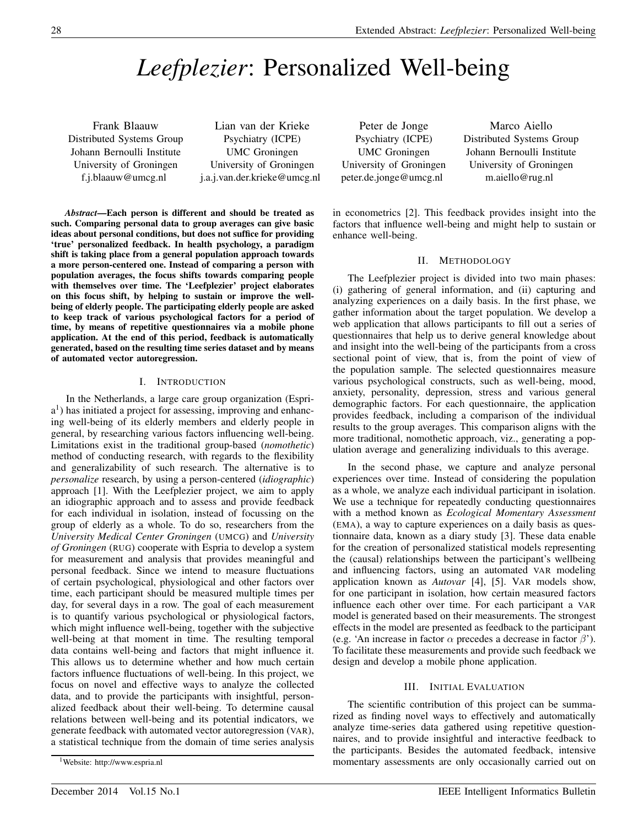# *Leefplezier*: Personalized Well-being

Frank Blaauw Distributed Systems Group Johann Bernoulli Institute University of Groningen f.j.blaauw@umcg.nl

Lian van der Krieke Psychiatry (ICPE) UMC Groningen University of Groningen j.a.j.van.der.krieke@umcg.nl

*Abstract*—Each person is different and should be treated as such. Comparing personal data to group averages can give basic ideas about personal conditions, but does not suffice for providing 'true' personalized feedback. In health psychology, a paradigm shift is taking place from a general population approach towards a more person-centered one. Instead of comparing a person with population averages, the focus shifts towards comparing people with themselves over time. The 'Leefplezier' project elaborates on this focus shift, by helping to sustain or improve the wellbeing of elderly people. The participating elderly people are asked to keep track of various psychological factors for a period of time, by means of repetitive questionnaires via a mobile phone application. At the end of this period, feedback is automatically generated, based on the resulting time series dataset and by means of automated vector autoregression.

## I. INTRODUCTION

In the Netherlands, a large care group organization (Espria 1 ) has initiated a project for assessing, improving and enhancing well-being of its elderly members and elderly people in general, by researching various factors influencing well-being. Limitations exist in the traditional group-based (*nomothetic*) method of conducting research, with regards to the flexibility and generalizability of such research. The alternative is to *personalize* research, by using a person-centered (*idiographic*) approach [1]. With the Leefplezier project, we aim to apply an idiographic approach and to assess and provide feedback for each individual in isolation, instead of focussing on the group of elderly as a whole. To do so, researchers from the *University Medical Center Groningen* (UMCG) and *University of Groningen* (RUG) cooperate with Espria to develop a system for measurement and analysis that provides meaningful and personal feedback. Since we intend to measure fluctuations of certain psychological, physiological and other factors over time, each participant should be measured multiple times per day, for several days in a row. The goal of each measurement is to quantify various psychological or physiological factors, which might influence well-being, together with the subjective well-being at that moment in time. The resulting temporal data contains well-being and factors that might influence it. This allows us to determine whether and how much certain factors influence fluctuations of well-being. In this project, we focus on novel and effective ways to analyze the collected data, and to provide the participants with insightful, personalized feedback about their well-being. To determine causal relations between well-being and its potential indicators, we generate feedback with automated vector autoregression (VAR), a statistical technique from the domain of time series analysis

Peter de Jonge Psychiatry (ICPE) UMC Groningen University of Groningen peter.de.jonge@umcg.nl

Marco Aiello Distributed Systems Group Johann Bernoulli Institute University of Groningen m.aiello@rug.nl

in econometrics [2]. This feedback provides insight into the factors that influence well-being and might help to sustain or enhance well-being.

## II. METHODOLOGY

The Leefplezier project is divided into two main phases: (i) gathering of general information, and (ii) capturing and analyzing experiences on a daily basis. In the first phase, we gather information about the target population. We develop a web application that allows participants to fill out a series of questionnaires that help us to derive general knowledge about and insight into the well-being of the participants from a cross sectional point of view, that is, from the point of view of the population sample. The selected questionnaires measure various psychological constructs, such as well-being, mood, anxiety, personality, depression, stress and various general demographic factors. For each questionnaire, the application provides feedback, including a comparison of the individual results to the group averages. This comparison aligns with the more traditional, nomothetic approach, viz., generating a population average and generalizing individuals to this average.

In the second phase, we capture and analyze personal experiences over time. Instead of considering the population as a whole, we analyze each individual participant in isolation. We use a technique for repeatedly conducting questionnaires with a method known as *Ecological Momentary Assessment* (EMA), a way to capture experiences on a daily basis as questionnaire data, known as a diary study [3]. These data enable for the creation of personalized statistical models representing the (causal) relationships between the participant's wellbeing and influencing factors, using an automated VAR modeling application known as *Autovar* [4], [5]. VAR models show, for one participant in isolation, how certain measured factors influence each other over time. For each participant a VAR model is generated based on their measurements. The strongest effects in the model are presented as feedback to the participant (e.g. 'An increase in factor  $\alpha$  precedes a decrease in factor  $\beta$ '). To facilitate these measurements and provide such feedback we design and develop a mobile phone application.

## III. INITIAL EVALUATION

The scientific contribution of this project can be summarized as finding novel ways to effectively and automatically analyze time-series data gathered using repetitive questionnaires, and to provide insightful and interactive feedback to the participants. Besides the automated feedback, intensive momentary assessments are only occasionally carried out on

<sup>1</sup>Website: http://www.espria.nl